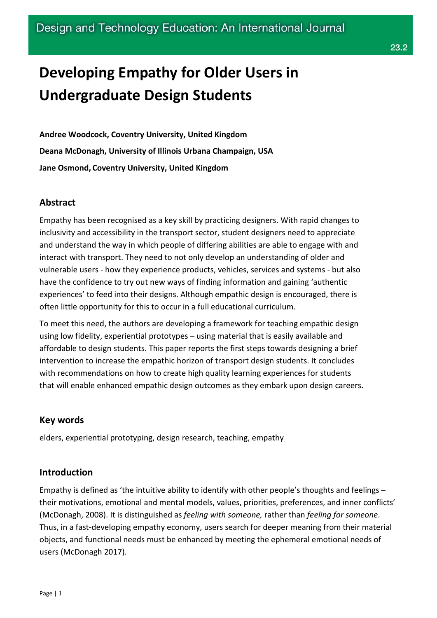# **Developing Empathy for Older Users in Undergraduate Design Students**

**Andree Woodcock, Coventry University, United Kingdom Deana McDonagh, University of Illinois Urbana Champaign, USA Jane Osmond, Coventry University, United Kingdom**

## **Abstract**

Empathy has been recognised as a key skill by practicing designers. With rapid changes to inclusivity and accessibility in the transport sector, student designers need to appreciate and understand the way in which people of differing abilities are able to engage with and interact with transport. They need to not only develop an understanding of older and vulnerable users - how they experience products, vehicles, services and systems - but also have the confidence to try out new ways of finding information and gaining 'authentic experiences' to feed into their designs. Although empathic design is encouraged, there is often little opportunity for this to occur in a full educational curriculum.

To meet this need, the authors are developing a framework for teaching empathic design using low fidelity, experiential prototypes – using material that is easily available and affordable to design students. This paper reports the first steps towards designing a brief intervention to increase the empathic horizon of transport design students. It concludes with recommendations on how to create high quality learning experiences for students that will enable enhanced empathic design outcomes as they embark upon design careers.

#### **Key words**

elders, experiential prototyping, design research, teaching, empathy

## **Introduction**

Empathy is defined as 'the intuitive ability to identify with other people's thoughts and feelings – their motivations, emotional and mental models, values, priorities, preferences, and inner conflicts' (McDonagh, 2008). It is distinguished as *feeling with someone,* rather than *feeling for someone*. Thus, in a fast-developing empathy economy, users search for deeper meaning from their material objects, and functional needs must be enhanced by meeting the ephemeral emotional needs of users (McDonagh 2017).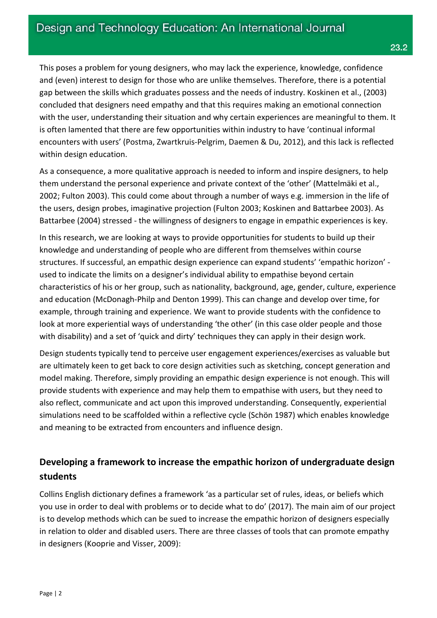This poses a problem for young designers, who may lack the experience, knowledge, confidence and (even) interest to design for those who are unlike themselves. Therefore, there is a potential gap between the skills which graduates possess and the needs of industry. Koskinen et al., (2003) concluded that designers need empathy and that this requires making an emotional connection with the user, understanding their situation and why certain experiences are meaningful to them. It is often lamented that there are few opportunities within industry to have 'continual informal encounters with users' (Postma, Zwartkruis-Pelgrim, Daemen & Du, 2012), and this lack is reflected within design education.

As a consequence, a more qualitative approach is needed to inform and inspire designers, to help them understand the personal experience and private context of the 'other' (Mattelmäki et al., 2002; Fulton 2003). This could come about through a number of ways e.g. immersion in the life of the users, design probes, imaginative projection (Fulton 2003; Koskinen and Battarbee 2003). As Battarbee (2004) stressed - the willingness of designers to engage in empathic experiences is key.

In this research, we are looking at ways to provide opportunities for students to build up their knowledge and understanding of people who are different from themselves within course structures. If successful, an empathic design experience can expand students' 'empathic horizon' used to indicate the limits on a designer's individual ability to empathise beyond certain characteristics of his or her group, such as nationality, background, age, gender, culture, experience and education (McDonagh-Philp and Denton 1999). This can change and develop over time, for example, through training and experience. We want to provide students with the confidence to look at more experiential ways of understanding 'the other' (in this case older people and those with disability) and a set of 'quick and dirty' techniques they can apply in their design work.

Design students typically tend to perceive user engagement experiences/exercises as valuable but are ultimately keen to get back to core design activities such as sketching, concept generation and model making. Therefore, simply providing an empathic design experience is not enough. This will provide students with experience and may help them to empathise with users, but they need to also reflect, communicate and act upon this improved understanding. Consequently, experiential simulations need to be scaffolded within a reflective cycle (Schön 1987) which enables knowledge and meaning to be extracted from encounters and influence design.

## **Developing a framework to increase the empathic horizon of undergraduate design students**

Collins English dictionary defines a framework 'as a particular set of rules, [ideas,](https://www.collinsdictionary.com/dictionary/english/idea) or [beliefs](https://www.collinsdictionary.com/dictionary/english/belief) which you use in order to [deal](https://www.collinsdictionary.com/dictionary/english/deal) with [problems](https://www.collinsdictionary.com/dictionary/english/problem) or to [decide](https://www.collinsdictionary.com/dictionary/english/decide) what to do' (2017). The main aim of our project is to develop methods which can be sued to increase the empathic horizon of designers especially in relation to older and disabled users. There are three classes of tools that can promote empathy in designers (Kooprie and Visser, 2009):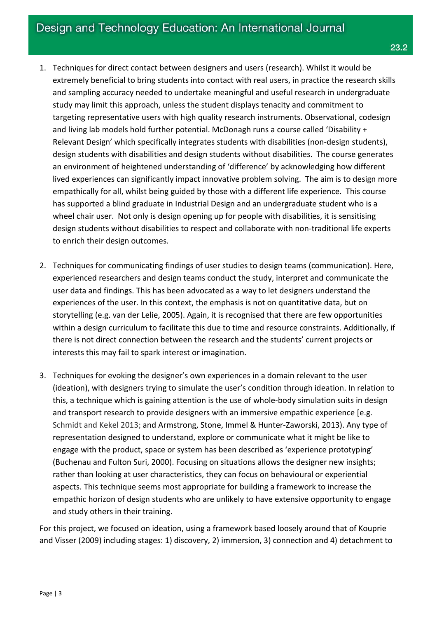- 1. Techniques for direct contact between designers and users (research). Whilst it would be extremely beneficial to bring students into contact with real users, in practice the research skills and sampling accuracy needed to undertake meaningful and useful research in undergraduate study may limit this approach, unless the student displays tenacity and commitment to targeting representative users with high quality research instruments. Observational, codesign and living lab models hold further potential. McDonagh runs a course called 'Disability + Relevant Design' which specifically integrates students with disabilities (non-design students), design students with disabilities and design students without disabilities. The course generates an environment of heightened understanding of 'difference' by acknowledging how different lived experiences can significantly impact innovative problem solving. The aim is to design more empathically for all, whilst being guided by those with a different life experience. This course has supported a blind graduate in Industrial Design and an undergraduate student who is a wheel chair user. Not only is design opening up for people with disabilities, it is sensitising design students without disabilities to respect and collaborate with non-traditional life experts to enrich their design outcomes.
- 2. Techniques for communicating findings of user studies to design teams (communication). Here, experienced researchers and design teams conduct the study, interpret and communicate the user data and findings. This has been advocated as a way to let designers understand the experiences of the user. In this context, the emphasis is not on quantitative data, but on storytelling (e.g. van der Lelie, 2005). Again, it is recognised that there are few opportunities within a design curriculum to facilitate this due to time and resource constraints. Additionally, if there is not direct connection between the research and the students' current projects or interests this may fail to spark interest or imagination.
- 3. Techniques for evoking the designer's own experiences in a domain relevant to the user (ideation), with designers trying to simulate the user's condition through ideation. In relation to this, a technique which is gaining attention is the use of whole-body simulation suits in design and transport research to provide designers with an immersive empathic experience [e.g. Schmidt and Kekel 2013; and [Armstrong,](http://proceedings.asmedigitalcollection.asme.org/solr/searchresults.aspx?author=Jessica+Armstrong&q=Jessica+Armstrong) Stone, Immel & Hunter-Zaworski, 2013). Any type of representation designed to understand, explore or communicate what it might be like to engage with the product, space or system has been described as 'experience prototyping' (Buchenau and Fulton Suri, 2000). Focusing on situations allows the designer new insights; rather than looking at user characteristics, they can focus on behavioural or experiential aspects. This technique seems most appropriate for building a framework to increase the empathic horizon of design students who are unlikely to have extensive opportunity to engage and study others in their training.

For this project, we focused on ideation, using a framework based loosely around that of Kouprie and Visser (2009) including stages: 1) discovery, 2) immersion, 3) connection and 4) detachment to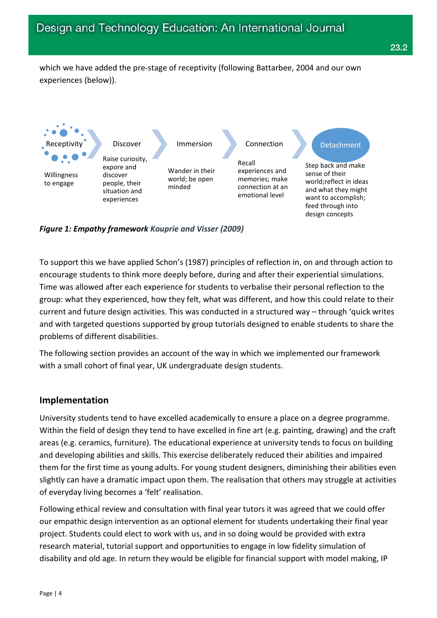which we have added the pre-stage of receptivity (following Battarbee, 2004 and our own experiences (below)).



*Figure 1: Empathy framework Kouprie and Visser (2009)*

To support this we have applied Schon's (1987) principles of reflection in, on and through action to encourage students to think more deeply before, during and after their experiential simulations. Time was allowed after each experience for students to verbalise their personal reflection to the group: what they experienced, how they felt, what was different, and how this could relate to their current and future design activities. This was conducted in a structured way – through 'quick writes and with targeted questions supported by group tutorials designed to enable students to share the problems of different disabilities.

The following section provides an account of the way in which we implemented our framework with a small cohort of final year, UK undergraduate design students.

## **Implementation**

University students tend to have excelled academically to ensure a place on a degree programme. Within the field of design they tend to have excelled in fine art (e.g. painting, drawing) and the craft areas (e.g. ceramics, furniture). The educational experience at university tends to focus on building and developing abilities and skills. This exercise deliberately reduced their abilities and impaired them for the first time as young adults. For young student designers, diminishing their abilities even slightly can have a dramatic impact upon them. The realisation that others may struggle at activities of everyday living becomes a 'felt' realisation.

Following ethical review and consultation with final year tutors it was agreed that we could offer our empathic design intervention as an optional element for students undertaking their final year project. Students could elect to work with us, and in so doing would be provided with extra research material, tutorial support and opportunities to engage in low fidelity simulation of disability and old age. In return they would be eligible for financial support with model making, IP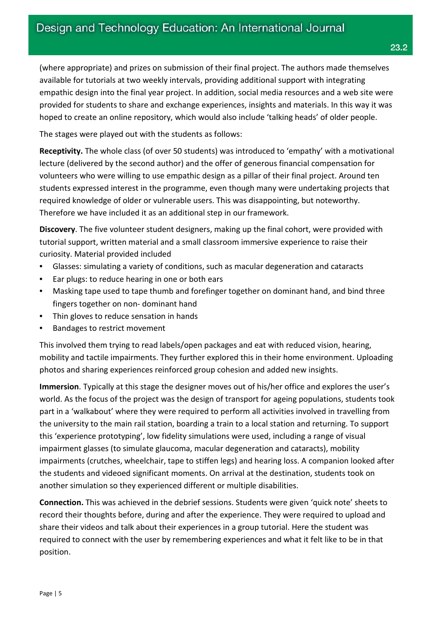(where appropriate) and prizes on submission of their final project. The authors made themselves available for tutorials at two weekly intervals, providing additional support with integrating empathic design into the final year project. In addition, social media resources and a web site were provided for students to share and exchange experiences, insights and materials. In this way it was hoped to create an online repository, which would also include 'talking heads' of older people.

The stages were played out with the students as follows:

**Receptivity.** The whole class (of over 50 students) was introduced to 'empathy' with a motivational lecture (delivered by the second author) and the offer of generous financial compensation for volunteers who were willing to use empathic design as a pillar of their final project. Around ten students expressed interest in the programme, even though many were undertaking projects that required knowledge of older or vulnerable users. This was disappointing, but noteworthy. Therefore we have included it as an additional step in our framework.

**Discovery**. The five volunteer student designers, making up the final cohort, were provided with tutorial support, written material and a small classroom immersive experience to raise their curiosity. Material provided included

- Glasses: simulating a variety of conditions, such as macular degeneration and cataracts
- Ear plugs: to reduce hearing in one or both ears
- Masking tape used to tape thumb and forefinger together on dominant hand, and bind three fingers together on non- dominant hand
- Thin gloves to reduce sensation in hands
- Bandages to restrict movement

This involved them trying to read labels/open packages and eat with reduced vision, hearing, mobility and tactile impairments. They further explored this in their home environment. Uploading photos and sharing experiences reinforced group cohesion and added new insights.

**Immersion**. Typically at this stage the designer moves out of his/her office and explores the user's world. As the focus of the project was the design of transport for ageing populations, students took part in a 'walkabout' where they were required to perform all activities involved in travelling from the university to the main rail station, boarding a train to a local station and returning. To support this 'experience prototyping', low fidelity simulations were used, including a range of visual impairment glasses (to simulate glaucoma, macular degeneration and cataracts), mobility impairments (crutches, wheelchair, tape to stiffen legs) and hearing loss. A companion looked after the students and videoed significant moments. On arrival at the destination, students took on another simulation so they experienced different or multiple disabilities.

**Connection.** This was achieved in the debrief sessions. Students were given 'quick note' sheets to record their thoughts before, during and after the experience. They were required to upload and share their videos and talk about their experiences in a group tutorial. Here the student was required to connect with the user by remembering experiences and what it felt like to be in that position.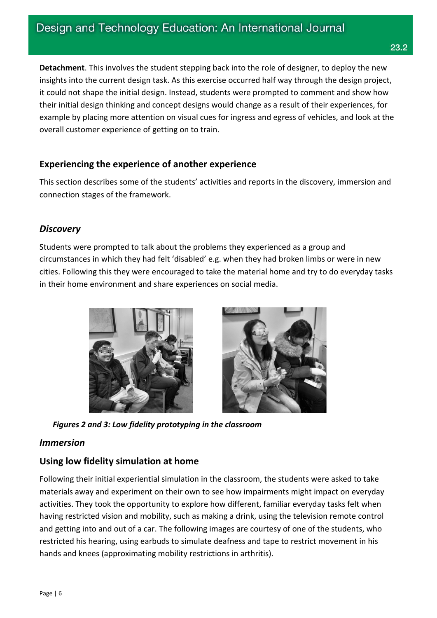**Detachment**. This involves the student stepping back into the role of designer, to deploy the new insights into the current design task. As this exercise occurred half way through the design project, it could not shape the initial design. Instead, students were prompted to comment and show how their initial design thinking and concept designs would change as a result of their experiences, for example by placing more attention on visual cues for ingress and egress of vehicles, and look at the overall customer experience of getting on to train.

## **Experiencing the experience of another experience**

This section describes some of the students' activities and reports in the discovery, immersion and connection stages of the framework.

## *Discovery*

Students were prompted to talk about the problems they experienced as a group and circumstances in which they had felt 'disabled' e.g. when they had broken limbs or were in new cities. Following this they were encouraged to take the material home and try to do everyday tasks in their home environment and share experiences on social media.





*Figures 2 and 3: Low fidelity prototyping in the classroom*

#### *Immersion*

## **Using low fidelity simulation at home**

Following their initial experiential simulation in the classroom, the students were asked to take materials away and experiment on their own to see how impairments might impact on everyday activities. They took the opportunity to explore how different, familiar everyday tasks felt when having restricted vision and mobility, such as making a drink, using the television remote control and getting into and out of a car. The following images are courtesy of one of the students, who restricted his hearing, using earbuds to simulate deafness and tape to restrict movement in his hands and knees (approximating mobility restrictions in arthritis).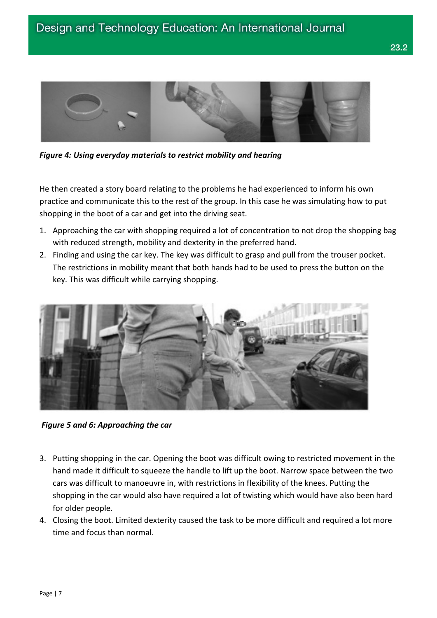

*Figure 4: Using everyday materials to restrict mobility and hearing*

He then created a story board relating to the problems he had experienced to inform his own practice and communicate this to the rest of the group. In this case he was simulating how to put shopping in the boot of a car and get into the driving seat.

- 1. Approaching the car with shopping required a lot of concentration to not drop the shopping bag with reduced strength, mobility and dexterity in the preferred hand.
- 2. Finding and using the car key. The key was difficult to grasp and pull from the trouser pocket. The restrictions in mobility meant that both hands had to be used to press the button on the key. This was difficult while carrying shopping.



*Figure 5 and 6: Approaching the car*

- 3. Putting shopping in the car. Opening the boot was difficult owing to restricted movement in the hand made it difficult to squeeze the handle to lift up the boot. Narrow space between the two cars was difficult to manoeuvre in, with restrictions in flexibility of the knees. Putting the shopping in the car would also have required a lot of twisting which would have also been hard for older people.
- 4. Closing the boot. Limited dexterity caused the task to be more difficult and required a lot more time and focus than normal.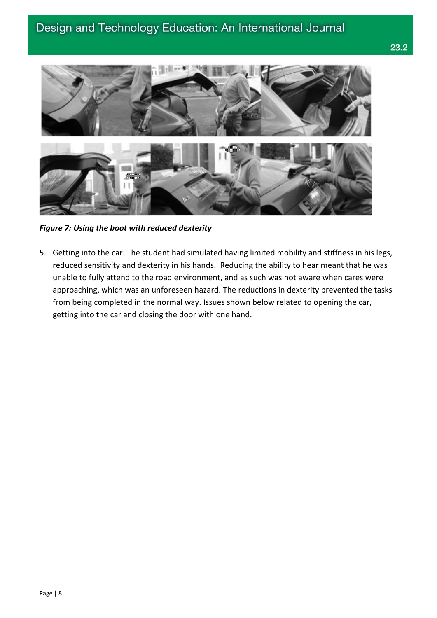

*Figure 7: Using the boot with reduced dexterity*

5. Getting into the car. The student had simulated having limited mobility and stiffness in his legs, reduced sensitivity and dexterity in his hands. Reducing the ability to hear meant that he was unable to fully attend to the road environment, and as such was not aware when cares were approaching, which was an unforeseen hazard. The reductions in dexterity prevented the tasks from being completed in the normal way. Issues shown below related to opening the car, getting into the car and closing the door with one hand.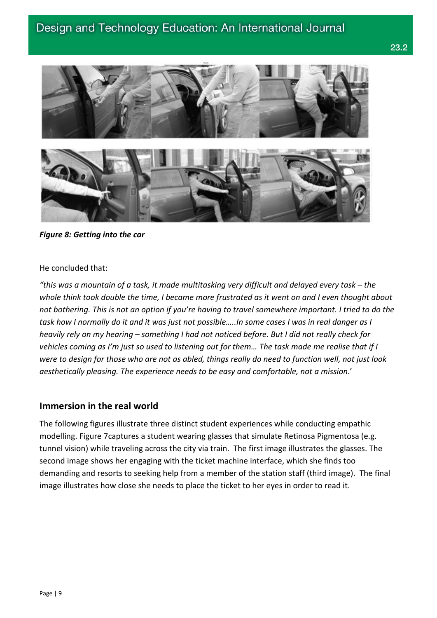## Design and Technology Education: An International Journal



*Figure 8: Getting into the car*

He concluded that:

*"this was a mountain of a task, it made multitasking very difficult and delayed every task – the whole think took double the time, I became more frustrated as it went on and I even thought about not bothering. This is not an option if you're having to travel somewhere important. I tried to do the task how I normally do it and it was just not possible…..In some cases I was in real danger as I heavily rely on my hearing – something I had not noticed before. But I did not really check for vehicles coming as I'm just so used to listening out for them… The task made me realise that if I were to design for those who are not as abled, things really do need to function well, not just look aesthetically pleasing. The experience needs to be easy and comfortable, not a mission*.'

#### **Immersion in the real world**

The following figures illustrate three distinct student experiences while conducting empathic modelling. Figure 7captures a student wearing glasses that simulate Retinosa Pigmentosa (e.g. tunnel vision) while traveling across the city via train. The first image illustrates the glasses. The second image shows her engaging with the ticket machine interface, which she finds too demanding and resorts to seeking help from a member of the station staff (third image). The final image illustrates how close she needs to place the ticket to her eyes in order to read it.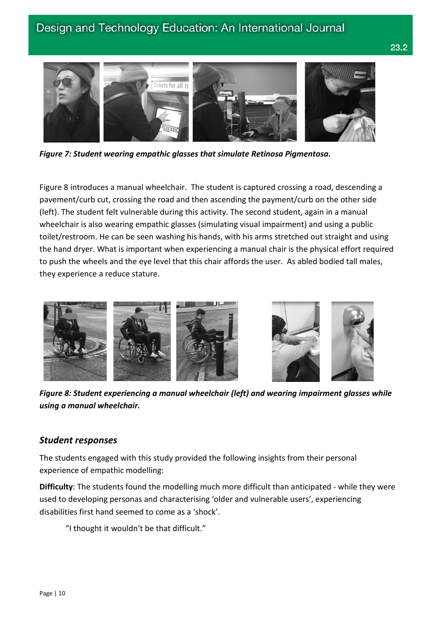## Design and Technology Education: An International Journal



*Figure 7: Student wearing empathic glasses that simulate Retinosa Pigmentosa.*

Figure 8 introduces a manual wheelchair. The student is captured crossing a road, descending a pavement/curb cut, crossing the road and then ascending the payment/curb on the other side (left). The student felt vulnerable during this activity. The second student, again in a manual wheelchair is also wearing empathic glasses (simulating visual impairment) and using a public toilet/restroom. He can be seen washing his hands, with his arms stretched out straight and using the hand dryer. What is important when experiencing a manual chair is the physical effort required to push the wheels and the eye level that this chair affords the user. As abled bodied tall males, they experience a reduce stature.



*Figure 8: Student experiencing a manual wheelchair (left) and wearing impairment glasses while using a manual wheelchair.*

#### *Student responses*

The students engaged with this study provided the following insights from their personal experience of empathic modelling:

**Difficulty**: The students found the modelling much more difficult than anticipated - while they were used to developing personas and characterising 'older and vulnerable users', experiencing disabilities first hand seemed to come as a 'shock'.

"I thought it wouldn't be that difficult."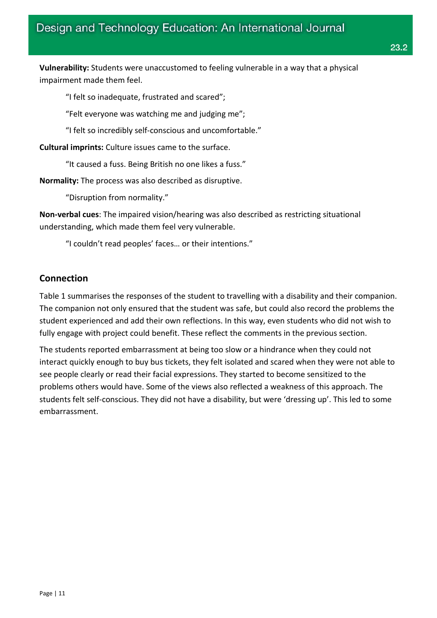**Vulnerability:** Students were unaccustomed to feeling vulnerable in a way that a physical impairment made them feel.

"I felt so inadequate, frustrated and scared";

"Felt everyone was watching me and judging me";

"I felt so incredibly self-conscious and uncomfortable."

**Cultural imprints:** Culture issues came to the surface.

"It caused a fuss. Being British no one likes a fuss."

**Normality:** The process was also described as disruptive.

"Disruption from normality."

**Non-verbal cues**: The impaired vision/hearing was also described as restricting situational understanding, which made them feel very vulnerable.

"I couldn't read peoples' faces… or their intentions."

## **Connection**

Table 1 summarises the responses of the student to travelling with a disability and their companion. The companion not only ensured that the student was safe, but could also record the problems the student experienced and add their own reflections. In this way, even students who did not wish to fully engage with project could benefit. These reflect the comments in the previous section.

The students reported embarrassment at being too slow or a hindrance when they could not interact quickly enough to buy bus tickets, they felt isolated and scared when they were not able to see people clearly or read their facial expressions. They started to become sensitized to the problems others would have. Some of the views also reflected a weakness of this approach. The students felt self-conscious. They did not have a disability, but were 'dressing up'. This led to some embarrassment.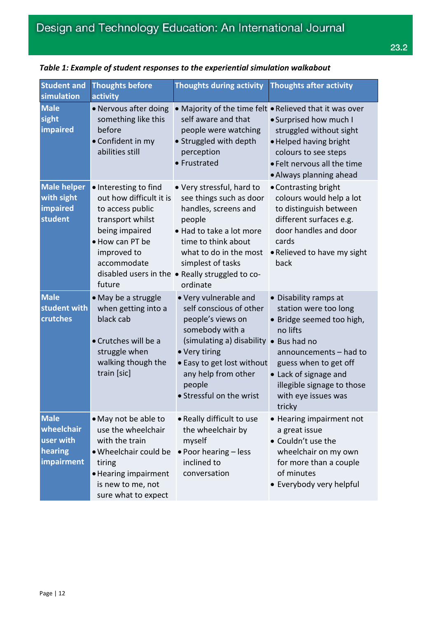| <b>Student and</b><br>simulation                                | <b>Thoughts before</b><br>activity                                                                                                                                    | <b>Thoughts during activity</b>                                                                                                                                                                                                                         | <b>Thoughts after activity</b>                                                                                                                                                                                                     |
|-----------------------------------------------------------------|-----------------------------------------------------------------------------------------------------------------------------------------------------------------------|---------------------------------------------------------------------------------------------------------------------------------------------------------------------------------------------------------------------------------------------------------|------------------------------------------------------------------------------------------------------------------------------------------------------------------------------------------------------------------------------------|
| <b>Male</b><br>sight<br>impaired                                | • Nervous after doing<br>something like this<br>before<br>• Confident in my<br>abilities still                                                                        | self aware and that<br>people were watching<br>• Struggled with depth<br>perception<br>• Frustrated                                                                                                                                                     | • Majority of the time felt • Relieved that it was over<br>• Surprised how much I<br>struggled without sight<br>. Helped having bright<br>colours to see steps<br>• Felt nervous all the time<br>• Always planning ahead           |
| <b>Male helper</b><br>with sight<br>impaired<br>student         | • Interesting to find<br>out how difficult it is<br>to access public<br>transport whilst<br>being impaired<br>• How can PT be<br>improved to<br>accommodate<br>future | • Very stressful, hard to<br>see things such as door<br>handles, screens and<br>people<br>• Had to take a lot more<br>time to think about<br>what to do in the most<br>simplest of tasks<br>disabled users in the . Really struggled to co-<br>ordinate | • Contrasting bright<br>colours would help a lot<br>to distinguish between<br>different surfaces e.g.<br>door handles and door<br>cards<br>• Relieved to have my sight<br>back                                                     |
| <b>Male</b><br>student with<br>crutches                         | • May be a struggle<br>when getting into a<br>black cab<br>• Crutches will be a<br>struggle when<br>walking though the<br>train [sic]                                 | • Very vulnerable and<br>self conscious of other<br>people's views on<br>somebody with a<br>(simulating a) disability • Bus had no<br>• Very tiring<br>• Easy to get lost without<br>any help from other<br>people<br>• Stressful on the wrist          | • Disability ramps at<br>station were too long<br>• Bridge seemed too high,<br>no lifts<br>announcements – had to<br>guess when to get off<br>• Lack of signage and<br>illegible signage to those<br>with eye issues was<br>tricky |
| <b>Male</b><br>wheelchair<br>user with<br>hearing<br>impairment | • May not be able to<br>use the wheelchair<br>with the train<br>• Wheelchair could be<br>tiring<br>• Hearing impairment<br>is new to me, not<br>sure what to expect   | • Really difficult to use<br>the wheelchair by<br>myself<br>• Poor hearing - less<br>inclined to<br>conversation                                                                                                                                        | • Hearing impairment not<br>a great issue<br>• Couldn't use the<br>wheelchair on my own<br>for more than a couple<br>of minutes<br>• Everybody very helpful                                                                        |

#### *Table 1: Example of student responses to the experiential simulation walkabout*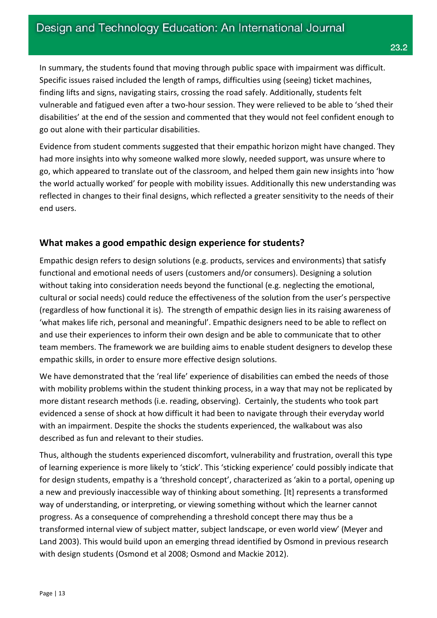In summary, the students found that moving through public space with impairment was difficult. Specific issues raised included the length of ramps, difficulties using (seeing) ticket machines, finding lifts and signs, navigating stairs, crossing the road safely. Additionally, students felt vulnerable and fatigued even after a two-hour session. They were relieved to be able to 'shed their disabilities' at the end of the session and commented that they would not feel confident enough to go out alone with their particular disabilities.

Evidence from student comments suggested that their empathic horizon might have changed. They had more insights into why someone walked more slowly, needed support, was unsure where to go, which appeared to translate out of the classroom, and helped them gain new insights into 'how the world actually worked' for people with mobility issues. Additionally this new understanding was reflected in changes to their final designs, which reflected a greater sensitivity to the needs of their end users.

### **What makes a good empathic design experience for students?**

Empathic design refers to design solutions (e.g. products, services and environments) that satisfy functional and emotional needs of users (customers and/or consumers). Designing a solution without taking into consideration needs beyond the functional (e.g. neglecting the emotional, cultural or social needs) could reduce the effectiveness of the solution from the user's perspective (regardless of how functional it is). The strength of empathic design lies in its raising awareness of 'what makes life rich, personal and meaningful'. Empathic designers need to be able to reflect on and use their experiences to inform their own design and be able to communicate that to other team members. The framework we are building aims to enable student designers to develop these empathic skills, in order to ensure more effective design solutions.

We have demonstrated that the 'real life' experience of disabilities can embed the needs of those with mobility problems within the student thinking process, in a way that may not be replicated by more distant research methods (i.e. reading, observing). Certainly, the students who took part evidenced a sense of shock at how difficult it had been to navigate through their everyday world with an impairment. Despite the shocks the students experienced, the walkabout was also described as fun and relevant to their studies.

Thus, although the students experienced discomfort, vulnerability and frustration, overall this type of learning experience is more likely to 'stick'. This 'sticking experience' could possibly indicate that for design students, empathy is a 'threshold concept', characterized as 'akin to a portal, opening up a new and previously inaccessible way of thinking about something. [It] represents a transformed way of understanding, or interpreting, or viewing something without which the learner cannot progress. As a consequence of comprehending a threshold concept there may thus be a transformed internal view of subject matter, subject landscape, or even world view' (Meyer and Land 2003). This would build upon an emerging thread identified by Osmond in previous research with design students (Osmond et al 2008; Osmond and Mackie 2012).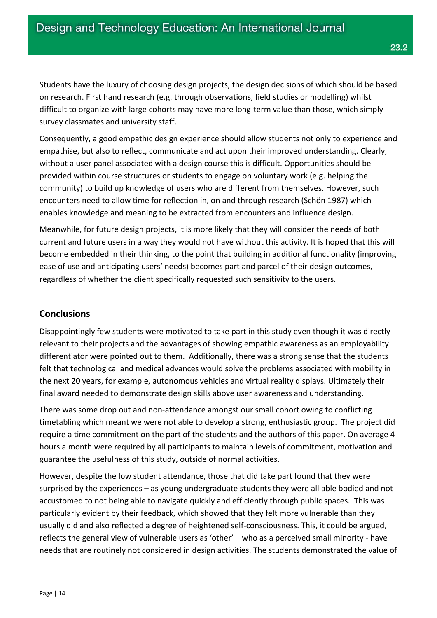Students have the luxury of choosing design projects, the design decisions of which should be based on research. First hand research (e.g. through observations, field studies or modelling) whilst difficult to organize with large cohorts may have more long-term value than those, which simply survey classmates and university staff.

Consequently, a good empathic design experience should allow students not only to experience and empathise, but also to reflect, communicate and act upon their improved understanding. Clearly, without a user panel associated with a design course this is difficult. Opportunities should be provided within course structures or students to engage on voluntary work (e.g. helping the community) to build up knowledge of users who are different from themselves. However, such encounters need to allow time for reflection in, on and through research (Schön 1987) which enables knowledge and meaning to be extracted from encounters and influence design.

Meanwhile, for future design projects, it is more likely that they will consider the needs of both current and future users in a way they would not have without this activity. It is hoped that this will become embedded in their thinking, to the point that building in additional functionality (improving ease of use and anticipating users' needs) becomes part and parcel of their design outcomes, regardless of whether the client specifically requested such sensitivity to the users.

## **Conclusions**

Disappointingly few students were motivated to take part in this study even though it was directly relevant to their projects and the advantages of showing empathic awareness as an employability differentiator were pointed out to them. Additionally, there was a strong sense that the students felt that technological and medical advances would solve the problems associated with mobility in the next 20 years, for example, autonomous vehicles and virtual reality displays. Ultimately their final award needed to demonstrate design skills above user awareness and understanding.

There was some drop out and non-attendance amongst our small cohort owing to conflicting timetabling which meant we were not able to develop a strong, enthusiastic group. The project did require a time commitment on the part of the students and the authors of this paper. On average 4 hours a month were required by all participants to maintain levels of commitment, motivation and guarantee the usefulness of this study, outside of normal activities.

However, despite the low student attendance, those that did take part found that they were surprised by the experiences – as young undergraduate students they were all able bodied and not accustomed to not being able to navigate quickly and efficiently through public spaces. This was particularly evident by their feedback, which showed that they felt more vulnerable than they usually did and also reflected a degree of heightened self-consciousness. This, it could be argued, reflects the general view of vulnerable users as 'other' – who as a perceived small minority - have needs that are routinely not considered in design activities. The students demonstrated the value of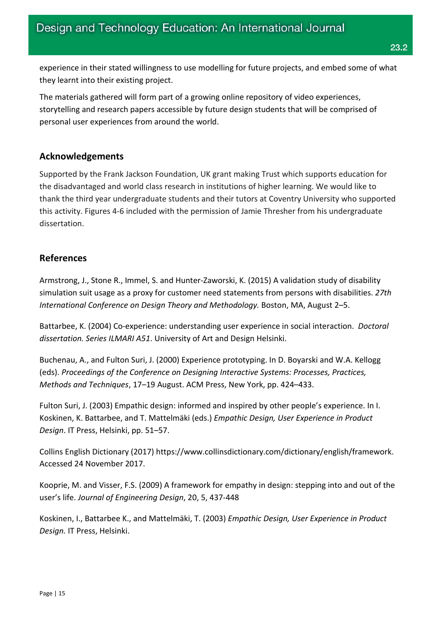experience in their stated willingness to use modelling for future projects, and embed some of what they learnt into their existing project.

The materials gathered will form part of a growing online repository of video experiences, storytelling and research papers accessible by future design students that will be comprised of personal user experiences from around the world.

## **Acknowledgements**

Supported by the Frank Jackson Foundation, UK grant making Trust which supports education for the disadvantaged and world class research in institutions of higher learning. We would like to thank the third year undergraduate students and their tutors at Coventry University who supported this activity. Figures 4-6 included with the permission of Jamie Thresher from his undergraduate dissertation.

## **References**

Armstrong, J., Stone R., Immel, S. and Hunter-Zaworski, K. (2015) A validation study of disability simulation suit usage as a proxy for customer need statements from persons with disabilities. *27th International Conference on Design Theory and Methodology.* Boston, MA, August 2–5.

Battarbee, K. (2004) Co-experience: understanding user experience in social interaction. *Doctoral dissertation. Series ILMARI A51*. University of Art and Design Helsinki.

Buchenau, A., and Fulton Suri, J. (2000) Experience prototyping. In D. Boyarski and W.A. Kellogg (eds). *Proceedings of the Conference on Designing Interactive Systems: Processes, Practices, Methods and Techniques*, 17–19 August. ACM Press, New York, pp. 424–433.

Fulton Suri, J. (2003) Empathic design: informed and inspired by other people's experience. In I. Koskinen, K. Battarbee, and T. Mattelmäki (eds.) *Empathic Design, User Experience in Product Design*. IT Press, Helsinki, pp. 51–57.

Collins English Dictionary (2017) https://www.collinsdictionary.com/dictionary/english/framework. Accessed 24 November 2017.

Kooprie, M. and Visser, F.S. (2009) A framework for empathy in design: stepping into and out of the user's life. *Journal of Engineering Design*, 20, 5, 437-448

Koskinen, I., Battarbee K., and Mattelmäki, T. (2003) *Empathic Design, User Experience in Product Design.* IT Press, Helsinki.